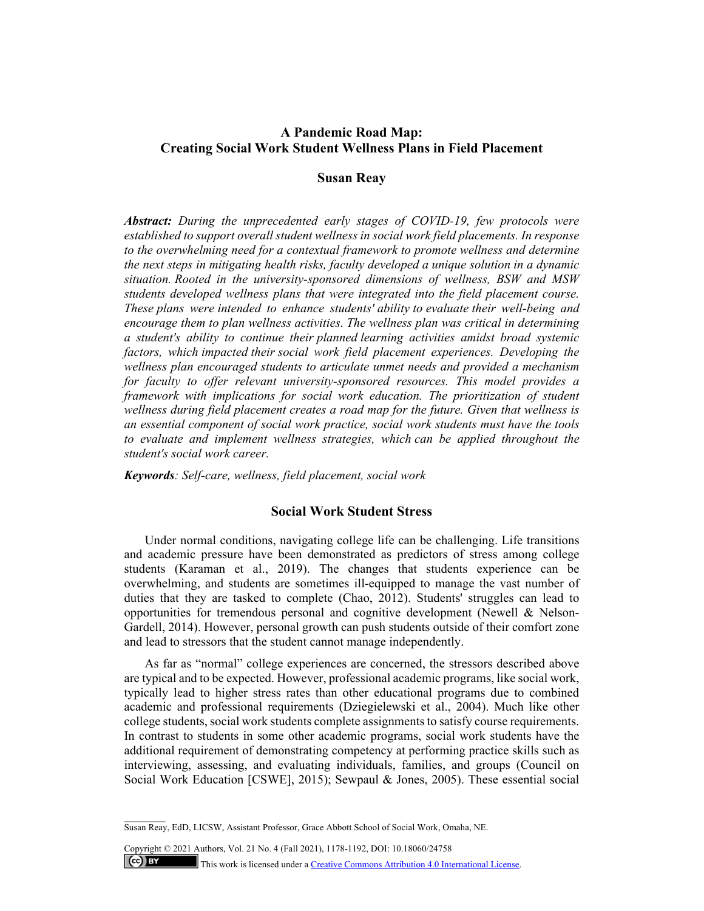# **A Pandemic Road Map: Creating Social Work Student Wellness Plans in Field Placement**

# **Susan Reay**

*Abstract: During the unprecedented early stages of COVID-19, few protocols were established to support overall student wellness in social work field placements. In response to the overwhelming need for a contextual framework to promote wellness and determine the next steps in mitigating health risks, faculty developed a unique solution in a dynamic situation. Rooted in the university-sponsored dimensions of wellness, BSW and MSW students developed wellness plans that were integrated into the field placement course. These plans were intended to enhance students' ability to evaluate their well-being and encourage them to plan wellness activities. The wellness plan was critical in determining a student's ability to continue their planned learning activities amidst broad systemic factors, which impacted their social work field placement experiences. Developing the wellness plan encouraged students to articulate unmet needs and provided a mechanism for faculty to offer relevant university-sponsored resources. This model provides a framework with implications for social work education. The prioritization of student wellness during field placement creates a road map for the future. Given that wellness is an essential component of social work practice, social work students must have the tools to evaluate and implement wellness strategies, which can be applied throughout the student's social work career.* 

*Keywords: Self-care, wellness, field placement, social work* 

# **Social Work Student Stress**

Under normal conditions, navigating college life can be challenging. Life transitions and academic pressure have been demonstrated as predictors of stress among college students (Karaman et al., 2019). The changes that students experience can be overwhelming, and students are sometimes ill-equipped to manage the vast number of duties that they are tasked to complete (Chao, 2012). Students' struggles can lead to opportunities for tremendous personal and cognitive development (Newell & Nelson-Gardell, 2014). However, personal growth can push students outside of their comfort zone and lead to stressors that the student cannot manage independently.

As far as "normal" college experiences are concerned, the stressors described above are typical and to be expected. However, professional academic programs, like social work, typically lead to higher stress rates than other educational programs due to combined academic and professional requirements (Dziegielewski et al., 2004). Much like other college students, social work students complete assignments to satisfy course requirements. In contrast to students in some other academic programs, social work students have the additional requirement of demonstrating competency at performing practice skills such as interviewing, assessing, and evaluating individuals, families, and groups (Council on Social Work Education [CSWE], 2015); Sewpaul & Jones, 2005). These essential social

Susan Reay, EdD, LICSW, Assistant Professor, Grace Abbott School of Social Work, Omaha, NE.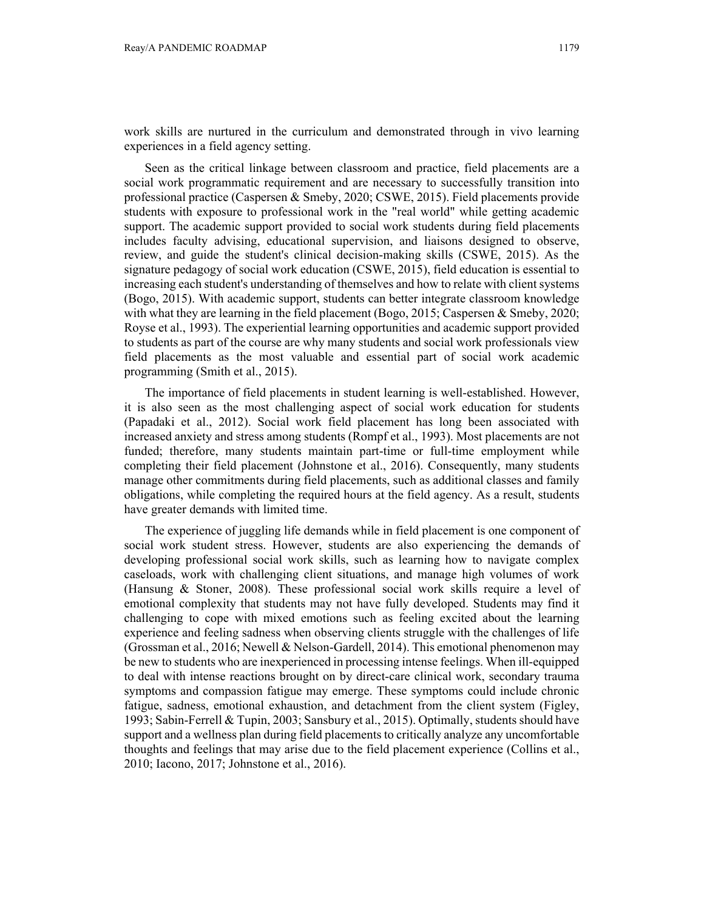work skills are nurtured in the curriculum and demonstrated through in vivo learning experiences in a field agency setting.

Seen as the critical linkage between classroom and practice, field placements are a social work programmatic requirement and are necessary to successfully transition into professional practice (Caspersen & Smeby, 2020; CSWE, 2015). Field placements provide students with exposure to professional work in the "real world" while getting academic support. The academic support provided to social work students during field placements includes faculty advising, educational supervision, and liaisons designed to observe, review, and guide the student's clinical decision-making skills (CSWE, 2015). As the signature pedagogy of social work education (CSWE, 2015), field education is essential to increasing each student's understanding of themselves and how to relate with client systems (Bogo, 2015). With academic support, students can better integrate classroom knowledge with what they are learning in the field placement (Bogo, 2015; Caspersen & Smeby, 2020; Royse et al., 1993). The experiential learning opportunities and academic support provided to students as part of the course are why many students and social work professionals view field placements as the most valuable and essential part of social work academic programming (Smith et al., 2015).

The importance of field placements in student learning is well-established. However, it is also seen as the most challenging aspect of social work education for students (Papadaki et al., 2012). Social work field placement has long been associated with increased anxiety and stress among students (Rompf et al., 1993). Most placements are not funded; therefore, many students maintain part-time or full-time employment while completing their field placement (Johnstone et al., 2016). Consequently, many students manage other commitments during field placements, such as additional classes and family obligations, while completing the required hours at the field agency. As a result, students have greater demands with limited time.

The experience of juggling life demands while in field placement is one component of social work student stress. However, students are also experiencing the demands of developing professional social work skills, such as learning how to navigate complex caseloads, work with challenging client situations, and manage high volumes of work (Hansung & Stoner, 2008). These professional social work skills require a level of emotional complexity that students may not have fully developed. Students may find it challenging to cope with mixed emotions such as feeling excited about the learning experience and feeling sadness when observing clients struggle with the challenges of life (Grossman et al., 2016; Newell & Nelson-Gardell, 2014). This emotional phenomenon may be new to students who are inexperienced in processing intense feelings. When ill-equipped to deal with intense reactions brought on by direct-care clinical work, secondary trauma symptoms and compassion fatigue may emerge. These symptoms could include chronic fatigue, sadness, emotional exhaustion, and detachment from the client system (Figley, 1993; Sabin-Ferrell & Tupin, 2003; Sansbury et al., 2015). Optimally, students should have support and a wellness plan during field placements to critically analyze any uncomfortable thoughts and feelings that may arise due to the field placement experience (Collins et al., 2010; Iacono, 2017; Johnstone et al., 2016).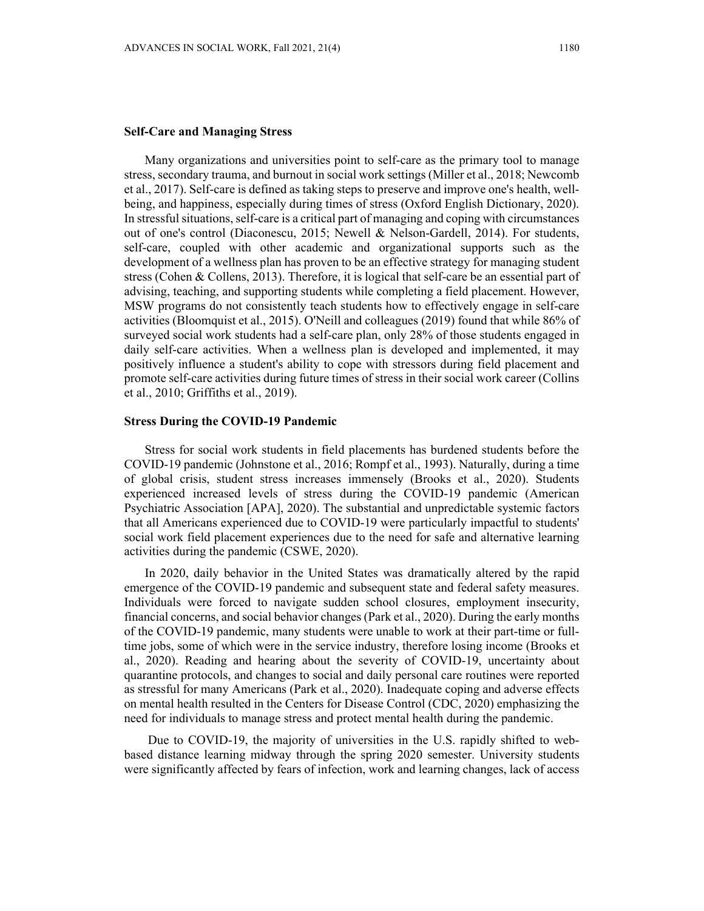### **Self-Care and Managing Stress**

Many organizations and universities point to self-care as the primary tool to manage stress, secondary trauma, and burnout in social work settings (Miller et al., 2018; Newcomb et al., 2017). Self-care is defined as taking steps to preserve and improve one's health, wellbeing, and happiness, especially during times of stress (Oxford English Dictionary, 2020). In stressful situations, self-care is a critical part of managing and coping with circumstances out of one's control (Diaconescu, 2015; Newell & Nelson-Gardell, 2014). For students, self-care, coupled with other academic and organizational supports such as the development of a wellness plan has proven to be an effective strategy for managing student stress (Cohen & Collens, 2013). Therefore, it is logical that self-care be an essential part of advising, teaching, and supporting students while completing a field placement. However, MSW programs do not consistently teach students how to effectively engage in self-care activities (Bloomquist et al., 2015). O'Neill and colleagues (2019) found that while 86% of surveyed social work students had a self-care plan, only 28% of those students engaged in daily self-care activities. When a wellness plan is developed and implemented, it may positively influence a student's ability to cope with stressors during field placement and promote self-care activities during future times of stress in their social work career (Collins et al., 2010; Griffiths et al., 2019).

#### **Stress During the COVID-19 Pandemic**

Stress for social work students in field placements has burdened students before the COVID-19 pandemic (Johnstone et al., 2016; Rompf et al., 1993). Naturally, during a time of global crisis, student stress increases immensely (Brooks et al., 2020). Students experienced increased levels of stress during the COVID-19 pandemic (American Psychiatric Association [APA], 2020). The substantial and unpredictable systemic factors that all Americans experienced due to COVID-19 were particularly impactful to students' social work field placement experiences due to the need for safe and alternative learning activities during the pandemic (CSWE, 2020).

In 2020, daily behavior in the United States was dramatically altered by the rapid emergence of the COVID-19 pandemic and subsequent state and federal safety measures. Individuals were forced to navigate sudden school closures, employment insecurity, financial concerns, and social behavior changes (Park et al., 2020). During the early months of the COVID-19 pandemic, many students were unable to work at their part-time or fulltime jobs, some of which were in the service industry, therefore losing income (Brooks et al., 2020). Reading and hearing about the severity of COVID-19, uncertainty about quarantine protocols, and changes to social and daily personal care routines were reported as stressful for many Americans (Park et al., 2020). Inadequate coping and adverse effects on mental health resulted in the Centers for Disease Control (CDC, 2020) emphasizing the need for individuals to manage stress and protect mental health during the pandemic.

 Due to COVID-19, the majority of universities in the U.S. rapidly shifted to webbased distance learning midway through the spring 2020 semester. University students were significantly affected by fears of infection, work and learning changes, lack of access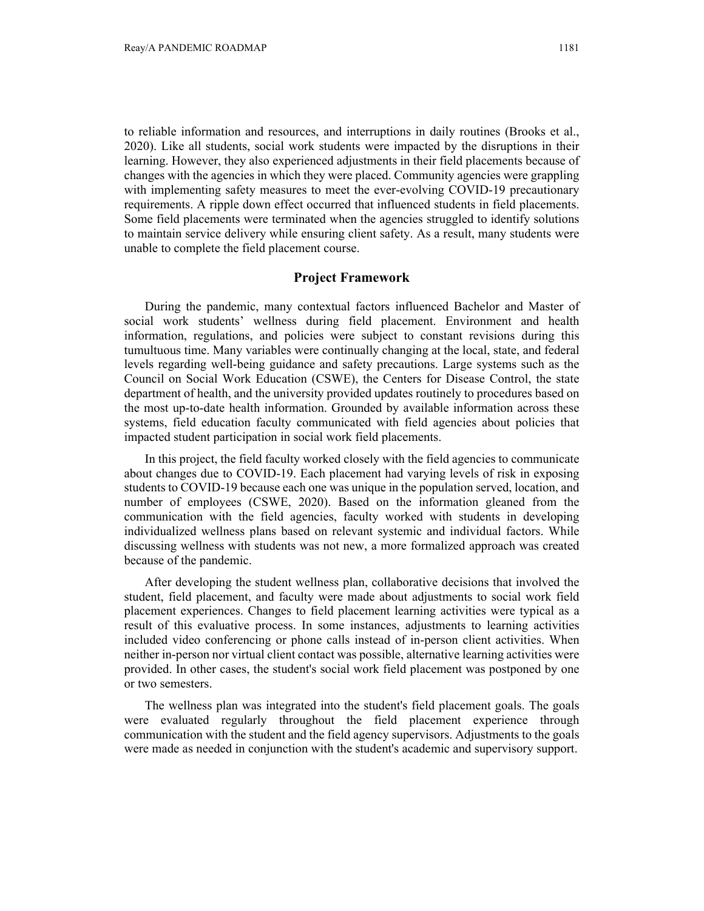to reliable information and resources, and interruptions in daily routines (Brooks et al., 2020). Like all students, social work students were impacted by the disruptions in their learning. However, they also experienced adjustments in their field placements because of changes with the agencies in which they were placed. Community agencies were grappling with implementing safety measures to meet the ever-evolving COVID-19 precautionary requirements. A ripple down effect occurred that influenced students in field placements. Some field placements were terminated when the agencies struggled to identify solutions to maintain service delivery while ensuring client safety. As a result, many students were unable to complete the field placement course.

# **Project Framework**

During the pandemic, many contextual factors influenced Bachelor and Master of social work students' wellness during field placement. Environment and health information, regulations, and policies were subject to constant revisions during this tumultuous time. Many variables were continually changing at the local, state, and federal levels regarding well-being guidance and safety precautions. Large systems such as the Council on Social Work Education (CSWE), the Centers for Disease Control, the state department of health, and the university provided updates routinely to procedures based on the most up-to-date health information. Grounded by available information across these systems, field education faculty communicated with field agencies about policies that impacted student participation in social work field placements.

In this project, the field faculty worked closely with the field agencies to communicate about changes due to COVID-19. Each placement had varying levels of risk in exposing students to COVID-19 because each one was unique in the population served, location, and number of employees (CSWE, 2020). Based on the information gleaned from the communication with the field agencies, faculty worked with students in developing individualized wellness plans based on relevant systemic and individual factors. While discussing wellness with students was not new, a more formalized approach was created because of the pandemic.

After developing the student wellness plan, collaborative decisions that involved the student, field placement, and faculty were made about adjustments to social work field placement experiences. Changes to field placement learning activities were typical as a result of this evaluative process. In some instances, adjustments to learning activities included video conferencing or phone calls instead of in-person client activities. When neither in-person nor virtual client contact was possible, alternative learning activities were provided. In other cases, the student's social work field placement was postponed by one or two semesters.

The wellness plan was integrated into the student's field placement goals. The goals were evaluated regularly throughout the field placement experience through communication with the student and the field agency supervisors. Adjustments to the goals were made as needed in conjunction with the student's academic and supervisory support.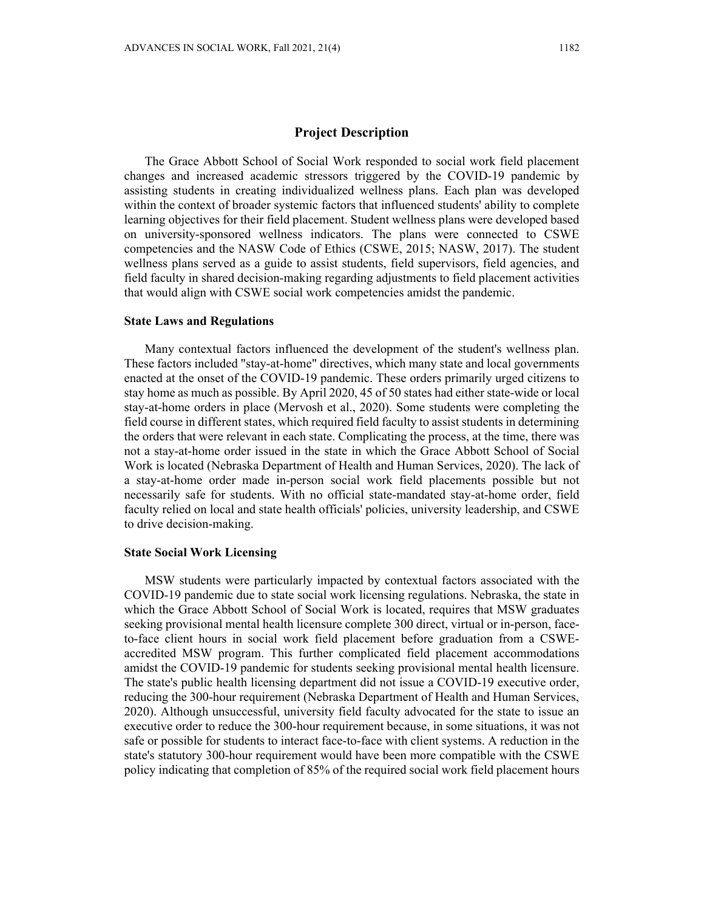## **Project Description**

The Grace Abbott School of Social Work responded to social work field placement changes and increased academic stressors triggered by the COVID-19 pandemic by assisting students in creating individualized wellness plans. Each plan was developed within the context of broader systemic factors that influenced students' ability to complete learning objectives for their field placement. Student wellness plans were developed based on university-sponsored wellness indicators. The plans were connected to CSWE competencies and the NASW Code of Ethics (CSWE, 2015; NASW, 2017). The student wellness plans served as a guide to assist students, field supervisors, field agencies, and field faculty in shared decision-making regarding adjustments to field placement activities that would align with CSWE social work competencies amidst the pandemic.

## **State Laws and Regulations**

Many contextual factors influenced the development of the student's wellness plan. These factors included "stay-at-home" directives, which many state and local governments enacted at the onset of the COVID-19 pandemic. These orders primarily urged citizens to stay home as much as possible. By April 2020, 45 of 50 states had either state-wide or local stay-at-home orders in place (Mervosh et al., 2020). Some students were completing the field course in different states, which required field faculty to assist students in determining the orders that were relevant in each state. Complicating the process, at the time, there was not a stay-at-home order issued in the state in which the Grace Abbott School of Social Work is located (Nebraska Department of Health and Human Services, 2020). The lack of a stay-at-home order made in-person social work field placements possible but not necessarily safe for students. With no official state-mandated stay-at-home order, field faculty relied on local and state health officials' policies, university leadership, and CSWE to drive decision-making.

#### **State Social Work Licensing**

MSW students were particularly impacted by contextual factors associated with the COVID-19 pandemic due to state social work licensing regulations. Nebraska, the state in which the Grace Abbott School of Social Work is located, requires that MSW graduates seeking provisional mental health licensure complete 300 direct, virtual or in-person, faceto-face client hours in social work field placement before graduation from a CSWEaccredited MSW program. This further complicated field placement accommodations amidst the COVID-19 pandemic for students seeking provisional mental health licensure. The state's public health licensing department did not issue a COVID-19 executive order, reducing the 300-hour requirement (Nebraska Department of Health and Human Services, 2020). Although unsuccessful, university field faculty advocated for the state to issue an executive order to reduce the 300-hour requirement because, in some situations, it was not safe or possible for students to interact face-to-face with client systems. A reduction in the state's statutory 300-hour requirement would have been more compatible with the CSWE policy indicating that completion of 85% of the required social work field placement hours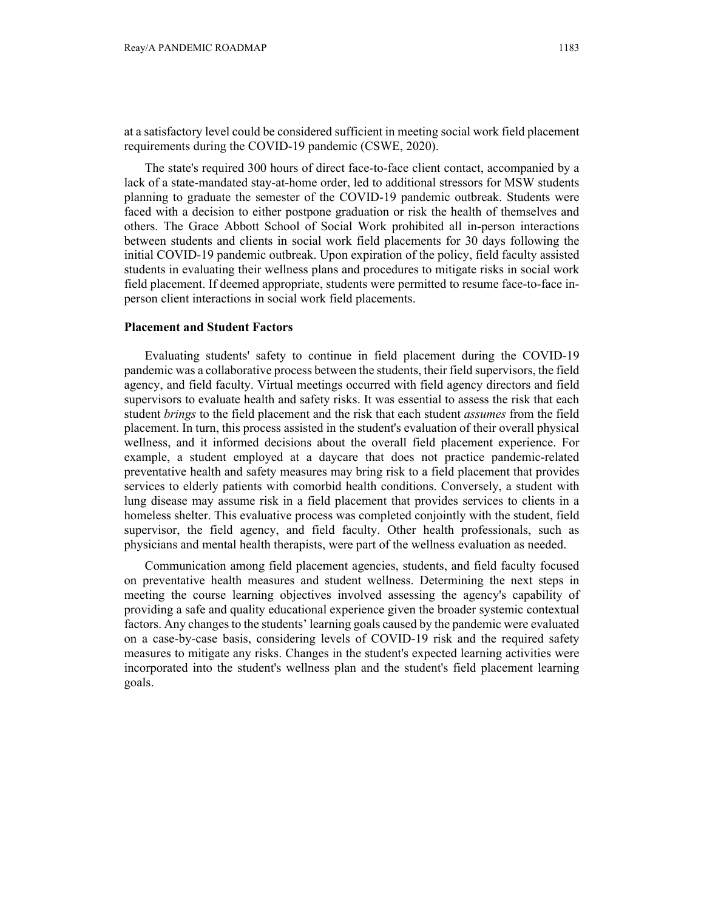at a satisfactory level could be considered sufficient in meeting social work field placement requirements during the COVID-19 pandemic (CSWE, 2020).

The state's required 300 hours of direct face-to-face client contact, accompanied by a lack of a state-mandated stay-at-home order, led to additional stressors for MSW students planning to graduate the semester of the COVID-19 pandemic outbreak. Students were faced with a decision to either postpone graduation or risk the health of themselves and others. The Grace Abbott School of Social Work prohibited all in-person interactions between students and clients in social work field placements for 30 days following the initial COVID-19 pandemic outbreak. Upon expiration of the policy, field faculty assisted students in evaluating their wellness plans and procedures to mitigate risks in social work field placement. If deemed appropriate, students were permitted to resume face-to-face inperson client interactions in social work field placements.

#### **Placement and Student Factors**

Evaluating students' safety to continue in field placement during the COVID-19 pandemic was a collaborative process between the students, their field supervisors, the field agency, and field faculty. Virtual meetings occurred with field agency directors and field supervisors to evaluate health and safety risks. It was essential to assess the risk that each student *brings* to the field placement and the risk that each student *assumes* from the field placement. In turn, this process assisted in the student's evaluation of their overall physical wellness, and it informed decisions about the overall field placement experience. For example, a student employed at a daycare that does not practice pandemic-related preventative health and safety measures may bring risk to a field placement that provides services to elderly patients with comorbid health conditions. Conversely, a student with lung disease may assume risk in a field placement that provides services to clients in a homeless shelter. This evaluative process was completed conjointly with the student, field supervisor, the field agency, and field faculty. Other health professionals, such as physicians and mental health therapists, were part of the wellness evaluation as needed.

Communication among field placement agencies, students, and field faculty focused on preventative health measures and student wellness. Determining the next steps in meeting the course learning objectives involved assessing the agency's capability of providing a safe and quality educational experience given the broader systemic contextual factors. Any changes to the students' learning goals caused by the pandemic were evaluated on a case-by-case basis, considering levels of COVID-19 risk and the required safety measures to mitigate any risks. Changes in the student's expected learning activities were incorporated into the student's wellness plan and the student's field placement learning goals.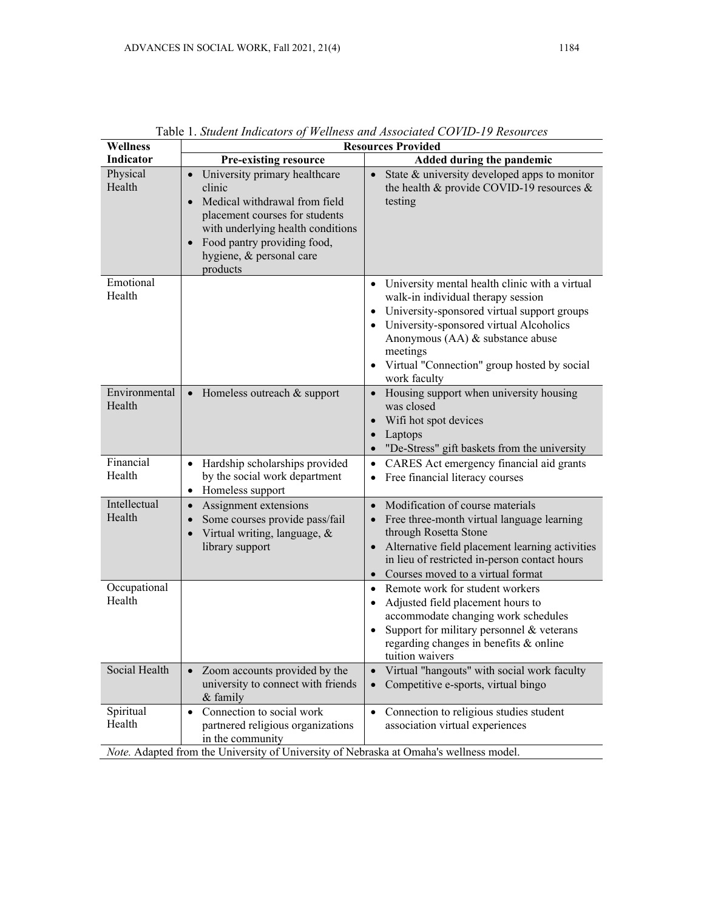| <b>Wellness</b>                                                                        | <b>Resources Provided</b>                                                                                                                                                                                                                                     |                                                                                                                                                                                                                                                                                                                  |  |  |
|----------------------------------------------------------------------------------------|---------------------------------------------------------------------------------------------------------------------------------------------------------------------------------------------------------------------------------------------------------------|------------------------------------------------------------------------------------------------------------------------------------------------------------------------------------------------------------------------------------------------------------------------------------------------------------------|--|--|
| Indicator                                                                              | <b>Pre-existing resource</b>                                                                                                                                                                                                                                  | <b>Added during the pandemic</b>                                                                                                                                                                                                                                                                                 |  |  |
| Physical<br>Health                                                                     | University primary healthcare<br>$\bullet$<br>clinic<br>Medical withdrawal from field<br>$\bullet$<br>placement courses for students<br>with underlying health conditions<br>Food pantry providing food,<br>$\bullet$<br>hygiene, & personal care<br>products | State & university developed apps to monitor<br>the health & provide COVID-19 resources $\&$<br>testing                                                                                                                                                                                                          |  |  |
| Emotional<br>Health                                                                    |                                                                                                                                                                                                                                                               | • University mental health clinic with a virtual<br>walk-in individual therapy session<br>University-sponsored virtual support groups<br>$\bullet$<br>• University-sponsored virtual Alcoholics<br>Anonymous (AA) & substance abuse<br>meetings<br>• Virtual "Connection" group hosted by social<br>work faculty |  |  |
| Environmental<br>Health                                                                | $\bullet$ Homeless outreach & support                                                                                                                                                                                                                         | Housing support when university housing<br>$\bullet$<br>was closed<br>Wifi hot spot devices<br>$\bullet$<br>Laptops<br>$\bullet$<br>"De-Stress" gift baskets from the university<br>$\bullet$                                                                                                                    |  |  |
| Financial<br>Health                                                                    | Hardship scholarships provided<br>$\bullet$<br>by the social work department<br>Homeless support<br>$\bullet$                                                                                                                                                 | CARES Act emergency financial aid grants<br>$\bullet$<br>Free financial literacy courses<br>$\bullet$                                                                                                                                                                                                            |  |  |
| Intellectual<br>Health                                                                 | Assignment extensions<br>$\bullet$<br>Some courses provide pass/fail<br>$\bullet$<br>Virtual writing, language, &<br>$\bullet$<br>library support                                                                                                             | Modification of course materials<br>$\bullet$<br>Free three-month virtual language learning<br>through Rosetta Stone<br>Alternative field placement learning activities<br>$\bullet$<br>in lieu of restricted in-person contact hours<br>Courses moved to a virtual format                                       |  |  |
| Occupational<br>Health                                                                 |                                                                                                                                                                                                                                                               | Remote work for student workers<br>$\bullet$<br>Adjusted field placement hours to<br>accommodate changing work schedules<br>Support for military personnel & veterans<br>$\bullet$<br>regarding changes in benefits & online<br>tuition waivers                                                                  |  |  |
| Social Health                                                                          | Zoom accounts provided by the<br>$\bullet$<br>university to connect with friends<br>& family                                                                                                                                                                  | Virtual "hangouts" with social work faculty<br>$\bullet$<br>Competitive e-sports, virtual bingo<br>$\bullet$                                                                                                                                                                                                     |  |  |
| Spiritual<br>Health                                                                    | Connection to social work<br>$\bullet$<br>partnered religious organizations<br>in the community                                                                                                                                                               | Connection to religious studies student<br>$\bullet$<br>association virtual experiences                                                                                                                                                                                                                          |  |  |
| Note. Adapted from the University of University of Nebraska at Omaha's wellness model. |                                                                                                                                                                                                                                                               |                                                                                                                                                                                                                                                                                                                  |  |  |

Table 1. *Student Indicators of Wellness and Associated COVID-19 Resources*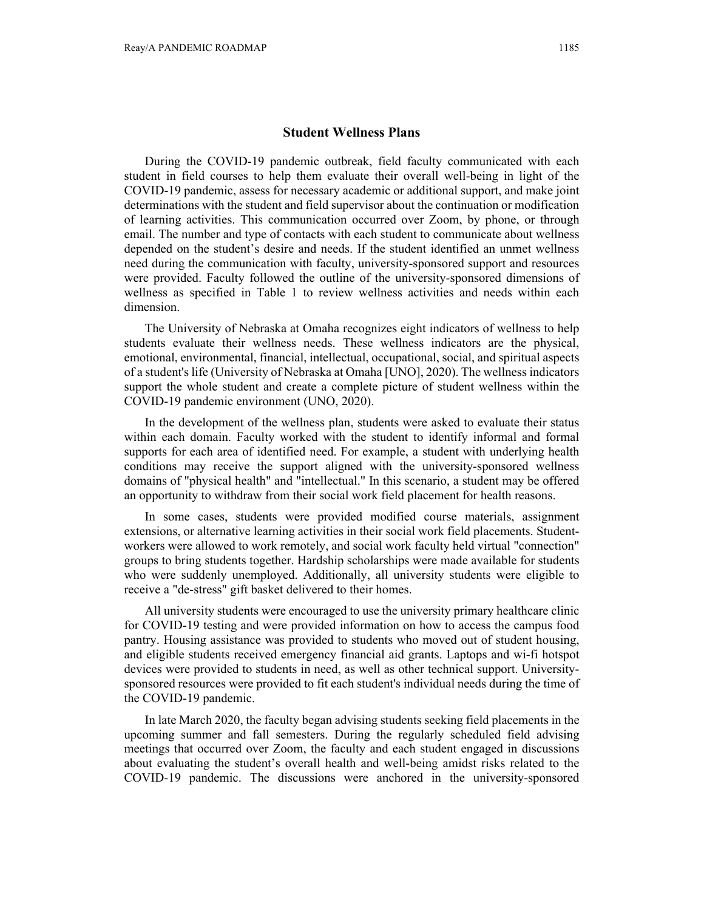### **Student Wellness Plans**

During the COVID-19 pandemic outbreak, field faculty communicated with each student in field courses to help them evaluate their overall well-being in light of the COVID-19 pandemic, assess for necessary academic or additional support, and make joint determinations with the student and field supervisor about the continuation or modification of learning activities. This communication occurred over Zoom, by phone, or through email. The number and type of contacts with each student to communicate about wellness depended on the student's desire and needs. If the student identified an unmet wellness need during the communication with faculty, university-sponsored support and resources were provided. Faculty followed the outline of the university-sponsored dimensions of wellness as specified in Table 1 to review wellness activities and needs within each dimension.

The University of Nebraska at Omaha recognizes eight indicators of wellness to help students evaluate their wellness needs. These wellness indicators are the physical, emotional, environmental, financial, intellectual, occupational, social, and spiritual aspects of a student's life (University of Nebraska at Omaha [UNO], 2020). The wellness indicators support the whole student and create a complete picture of student wellness within the COVID-19 pandemic environment (UNO, 2020).

In the development of the wellness plan, students were asked to evaluate their status within each domain. Faculty worked with the student to identify informal and formal supports for each area of identified need. For example, a student with underlying health conditions may receive the support aligned with the university-sponsored wellness domains of "physical health" and "intellectual." In this scenario, a student may be offered an opportunity to withdraw from their social work field placement for health reasons.

In some cases, students were provided modified course materials, assignment extensions, or alternative learning activities in their social work field placements. Studentworkers were allowed to work remotely, and social work faculty held virtual "connection" groups to bring students together. Hardship scholarships were made available for students who were suddenly unemployed. Additionally, all university students were eligible to receive a "de-stress" gift basket delivered to their homes.

All university students were encouraged to use the university primary healthcare clinic for COVID-19 testing and were provided information on how to access the campus food pantry. Housing assistance was provided to students who moved out of student housing, and eligible students received emergency financial aid grants. Laptops and wi-fi hotspot devices were provided to students in need, as well as other technical support. Universitysponsored resources were provided to fit each student's individual needs during the time of the COVID-19 pandemic.

In late March 2020, the faculty began advising students seeking field placements in the upcoming summer and fall semesters. During the regularly scheduled field advising meetings that occurred over Zoom, the faculty and each student engaged in discussions about evaluating the student's overall health and well-being amidst risks related to the COVID-19 pandemic. The discussions were anchored in the university-sponsored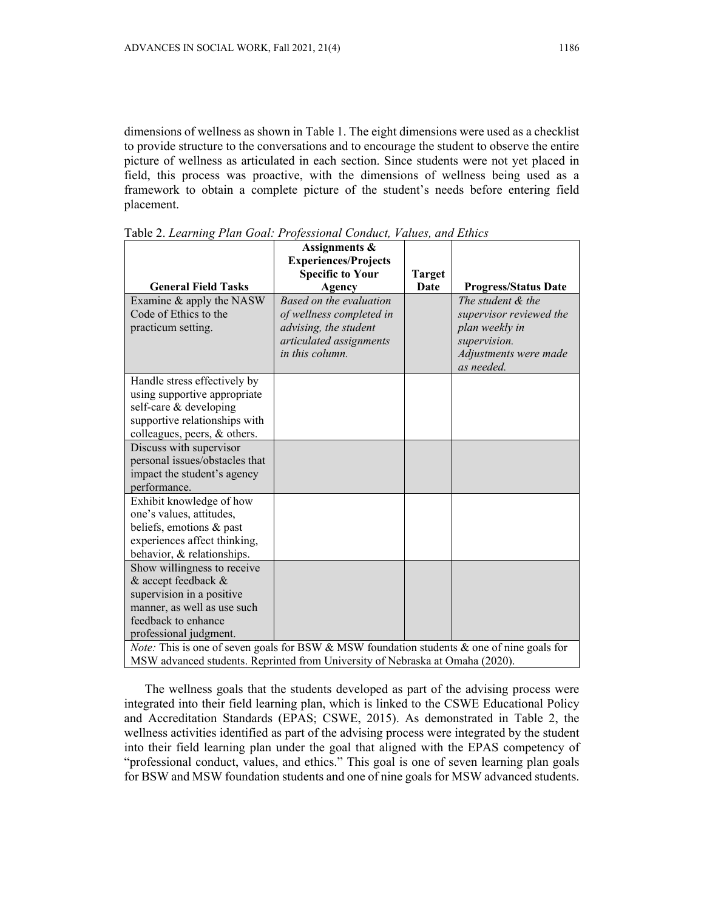dimensions of wellness as shown in Table 1. The eight dimensions were used as a checklist to provide structure to the conversations and to encourage the student to observe the entire picture of wellness as articulated in each section. Since students were not yet placed in field, this process was proactive, with the dimensions of wellness being used as a framework to obtain a complete picture of the student's needs before entering field placement.

|                                                                                                      | Assignments &<br><b>Experiences/Projects</b> |               |                                     |  |
|------------------------------------------------------------------------------------------------------|----------------------------------------------|---------------|-------------------------------------|--|
|                                                                                                      | <b>Specific to Your</b>                      | <b>Target</b> |                                     |  |
| <b>General Field Tasks</b>                                                                           | Agency                                       | Date          | <b>Progress/Status Date</b>         |  |
| Examine & apply the NASW                                                                             | Based on the evaluation                      |               | The student $\&$ the                |  |
| Code of Ethics to the                                                                                | of wellness completed in                     |               | supervisor reviewed the             |  |
| practicum setting.                                                                                   | advising, the student                        |               | plan weekly in                      |  |
|                                                                                                      | articulated assignments                      |               | supervision.                        |  |
|                                                                                                      | in this column.                              |               | Adjustments were made<br>as needed. |  |
| Handle stress effectively by                                                                         |                                              |               |                                     |  |
| using supportive appropriate                                                                         |                                              |               |                                     |  |
| self-care & developing                                                                               |                                              |               |                                     |  |
| supportive relationships with                                                                        |                                              |               |                                     |  |
| colleagues, peers, & others.                                                                         |                                              |               |                                     |  |
| Discuss with supervisor                                                                              |                                              |               |                                     |  |
| personal issues/obstacles that                                                                       |                                              |               |                                     |  |
| impact the student's agency                                                                          |                                              |               |                                     |  |
| performance.                                                                                         |                                              |               |                                     |  |
| Exhibit knowledge of how                                                                             |                                              |               |                                     |  |
| one's values, attitudes,                                                                             |                                              |               |                                     |  |
| beliefs, emotions & past                                                                             |                                              |               |                                     |  |
| experiences affect thinking,                                                                         |                                              |               |                                     |  |
| behavior, & relationships.                                                                           |                                              |               |                                     |  |
| Show willingness to receive                                                                          |                                              |               |                                     |  |
| & accept feedback &                                                                                  |                                              |               |                                     |  |
| supervision in a positive                                                                            |                                              |               |                                     |  |
| manner, as well as use such                                                                          |                                              |               |                                     |  |
| feedback to enhance                                                                                  |                                              |               |                                     |  |
| professional judgment.                                                                               |                                              |               |                                     |  |
| <i>Note:</i> This is one of seven goals for BSW & MSW foundation students $\&$ one of nine goals for |                                              |               |                                     |  |
| MSW advanced students. Reprinted from University of Nebraska at Omaha (2020).                        |                                              |               |                                     |  |

Table 2. *Learning Plan Goal: Professional Conduct, Values, and Ethics*

The wellness goals that the students developed as part of the advising process were integrated into their field learning plan, which is linked to the CSWE Educational Policy and Accreditation Standards (EPAS; CSWE, 2015). As demonstrated in Table 2, the wellness activities identified as part of the advising process were integrated by the student into their field learning plan under the goal that aligned with the EPAS competency of "professional conduct, values, and ethics." This goal is one of seven learning plan goals for BSW and MSW foundation students and one of nine goals for MSW advanced students.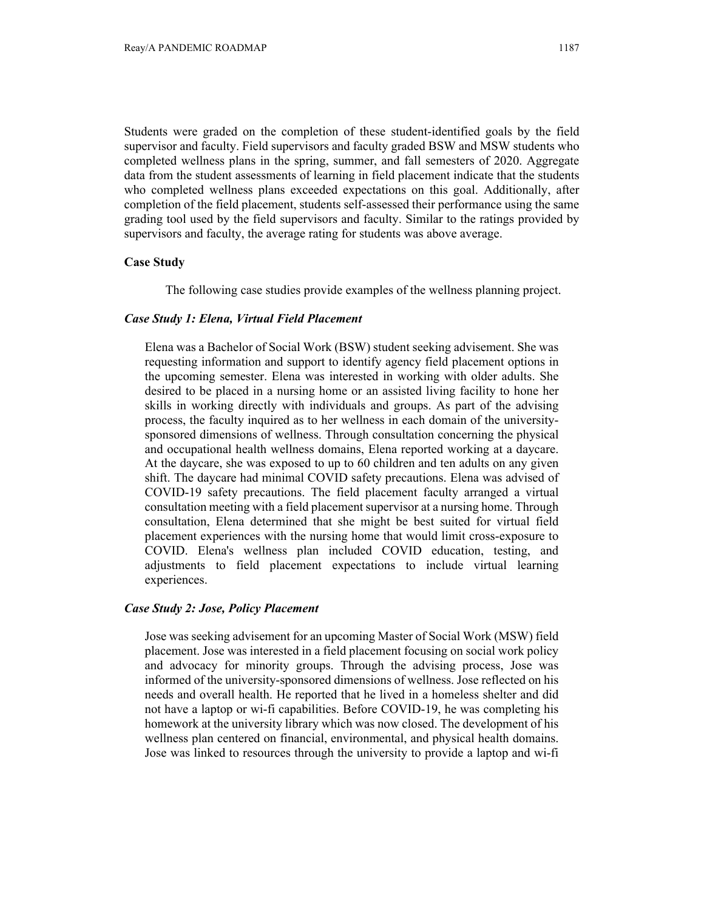Students were graded on the completion of these student-identified goals by the field supervisor and faculty. Field supervisors and faculty graded BSW and MSW students who completed wellness plans in the spring, summer, and fall semesters of 2020. Aggregate data from the student assessments of learning in field placement indicate that the students who completed wellness plans exceeded expectations on this goal. Additionally, after completion of the field placement, students self-assessed their performance using the same grading tool used by the field supervisors and faculty. Similar to the ratings provided by supervisors and faculty, the average rating for students was above average.

## **Case Study**

The following case studies provide examples of the wellness planning project.

### *Case Study 1: Elena, Virtual Field Placement*

Elena was a Bachelor of Social Work (BSW) student seeking advisement. She was requesting information and support to identify agency field placement options in the upcoming semester. Elena was interested in working with older adults. She desired to be placed in a nursing home or an assisted living facility to hone her skills in working directly with individuals and groups. As part of the advising process, the faculty inquired as to her wellness in each domain of the universitysponsored dimensions of wellness. Through consultation concerning the physical and occupational health wellness domains, Elena reported working at a daycare. At the daycare, she was exposed to up to 60 children and ten adults on any given shift. The daycare had minimal COVID safety precautions. Elena was advised of COVID-19 safety precautions. The field placement faculty arranged a virtual consultation meeting with a field placement supervisor at a nursing home. Through consultation, Elena determined that she might be best suited for virtual field placement experiences with the nursing home that would limit cross-exposure to COVID. Elena's wellness plan included COVID education, testing, and adjustments to field placement expectations to include virtual learning experiences.

## *Case Study 2: Jose, Policy Placement*

Jose was seeking advisement for an upcoming Master of Social Work (MSW) field placement. Jose was interested in a field placement focusing on social work policy and advocacy for minority groups. Through the advising process, Jose was informed of the university-sponsored dimensions of wellness. Jose reflected on his needs and overall health. He reported that he lived in a homeless shelter and did not have a laptop or wi-fi capabilities. Before COVID-19, he was completing his homework at the university library which was now closed. The development of his wellness plan centered on financial, environmental, and physical health domains. Jose was linked to resources through the university to provide a laptop and wi-fi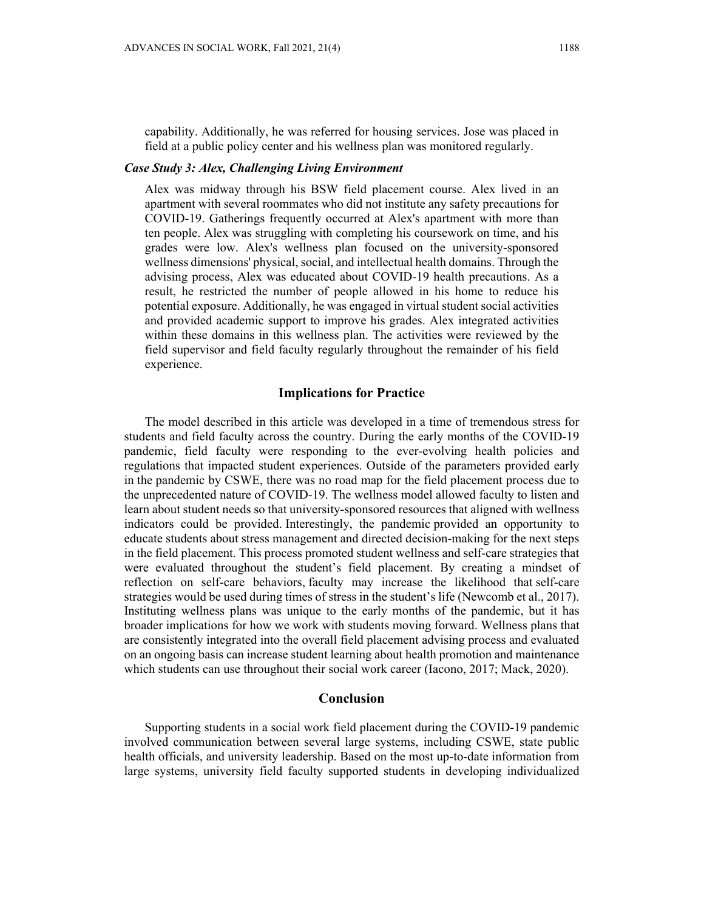capability. Additionally, he was referred for housing services. Jose was placed in field at a public policy center and his wellness plan was monitored regularly.

## *Case Study 3: Alex, Challenging Living Environment*

Alex was midway through his BSW field placement course. Alex lived in an apartment with several roommates who did not institute any safety precautions for COVID-19. Gatherings frequently occurred at Alex's apartment with more than ten people. Alex was struggling with completing his coursework on time, and his grades were low. Alex's wellness plan focused on the university-sponsored wellness dimensions' physical, social, and intellectual health domains. Through the advising process, Alex was educated about COVID-19 health precautions. As a result, he restricted the number of people allowed in his home to reduce his potential exposure. Additionally, he was engaged in virtual student social activities and provided academic support to improve his grades. Alex integrated activities within these domains in this wellness plan. The activities were reviewed by the field supervisor and field faculty regularly throughout the remainder of his field experience.

# **Implications for Practice**

The model described in this article was developed in a time of tremendous stress for students and field faculty across the country. During the early months of the COVID-19 pandemic, field faculty were responding to the ever-evolving health policies and regulations that impacted student experiences. Outside of the parameters provided early in the pandemic by CSWE, there was no road map for the field placement process due to the unprecedented nature of COVID-19. The wellness model allowed faculty to listen and learn about student needs so that university-sponsored resources that aligned with wellness indicators could be provided. Interestingly, the pandemic provided an opportunity to educate students about stress management and directed decision-making for the next steps in the field placement. This process promoted student wellness and self-care strategies that were evaluated throughout the student's field placement. By creating a mindset of reflection on self-care behaviors, faculty may increase the likelihood that self-care strategies would be used during times of stress in the student's life (Newcomb et al., 2017). Instituting wellness plans was unique to the early months of the pandemic, but it has broader implications for how we work with students moving forward. Wellness plans that are consistently integrated into the overall field placement advising process and evaluated on an ongoing basis can increase student learning about health promotion and maintenance which students can use throughout their social work career (Iacono, 2017; Mack, 2020).

## **Conclusion**

Supporting students in a social work field placement during the COVID-19 pandemic involved communication between several large systems, including CSWE, state public health officials, and university leadership. Based on the most up-to-date information from large systems, university field faculty supported students in developing individualized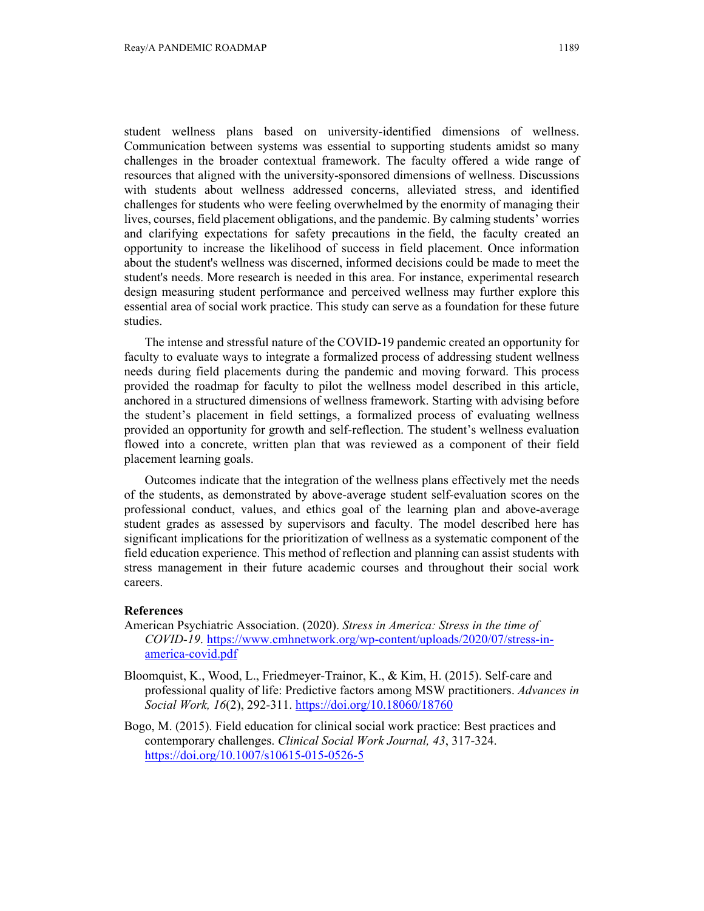student wellness plans based on university-identified dimensions of wellness. Communication between systems was essential to supporting students amidst so many challenges in the broader contextual framework. The faculty offered a wide range of resources that aligned with the university-sponsored dimensions of wellness. Discussions with students about wellness addressed concerns, alleviated stress, and identified challenges for students who were feeling overwhelmed by the enormity of managing their lives, courses, field placement obligations, and the pandemic. By calming students' worries and clarifying expectations for safety precautions in the field, the faculty created an opportunity to increase the likelihood of success in field placement. Once information about the student's wellness was discerned, informed decisions could be made to meet the student's needs. More research is needed in this area. For instance, experimental research design measuring student performance and perceived wellness may further explore this essential area of social work practice. This study can serve as a foundation for these future studies.

The intense and stressful nature of the COVID-19 pandemic created an opportunity for faculty to evaluate ways to integrate a formalized process of addressing student wellness needs during field placements during the pandemic and moving forward. This process provided the roadmap for faculty to pilot the wellness model described in this article, anchored in a structured dimensions of wellness framework. Starting with advising before the student's placement in field settings, a formalized process of evaluating wellness provided an opportunity for growth and self-reflection. The student's wellness evaluation flowed into a concrete, written plan that was reviewed as a component of their field placement learning goals.

Outcomes indicate that the integration of the wellness plans effectively met the needs of the students, as demonstrated by above-average student self-evaluation scores on the professional conduct, values, and ethics goal of the learning plan and above-average student grades as assessed by supervisors and faculty. The model described here has significant implications for the prioritization of wellness as a systematic component of the field education experience. This method of reflection and planning can assist students with stress management in their future academic courses and throughout their social work careers.

#### **References**

- American Psychiatric Association. (2020). *Stress in America: Stress in the time of COVID-19*. https://www.cmhnetwork.org/wp-content/uploads/2020/07/stress-inamerica-covid.pdf
- Bloomquist, K., Wood, L., Friedmeyer-Trainor, K., & Kim, H. (2015). Self-care and professional quality of life: Predictive factors among MSW practitioners. *Advances in Social Work, 16*(2), 292-311. https://doi.org/10.18060/18760
- Bogo, M. (2015). Field education for clinical social work practice: Best practices and contemporary challenges. *Clinical Social Work Journal, 43*, 317-324. https://doi.org/10.1007/s10615-015-0526-5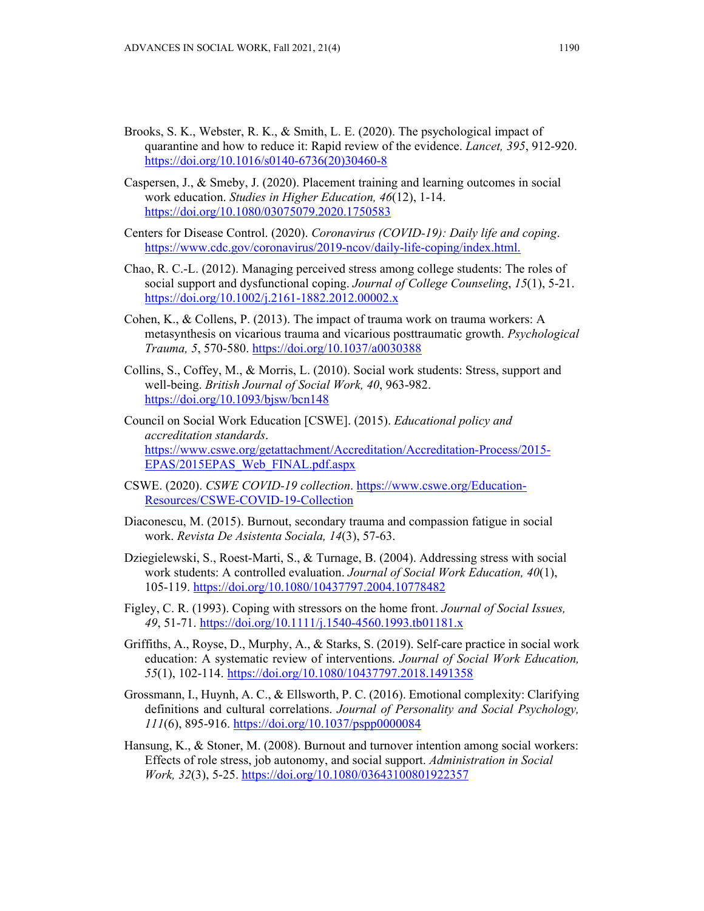- Brooks, S. K., Webster, R. K., & Smith, L. E. (2020). The psychological impact of quarantine and how to reduce it: Rapid review of the evidence. *Lancet, 395*, 912-920. https://doi.org/10.1016/s0140-6736(20)30460-8
- Caspersen, J., & Smeby, J. (2020). Placement training and learning outcomes in social work education. *Studies in Higher Education, 46*(12), 1-14. https://doi.org/10.1080/03075079.2020.1750583
- Centers for Disease Control. (2020). *Coronavirus (COVID-19): Daily life and coping*. https://www.cdc.gov/coronavirus/2019-ncov/daily-life-coping/index.html.
- Chao, R. C.-L. (2012). Managing perceived stress among college students: The roles of social support and dysfunctional coping. *Journal of College Counseling*, *15*(1), 5-21. https://doi.org/10.1002/j.2161-1882.2012.00002.x
- Cohen, K., & Collens, P. (2013). The impact of trauma work on trauma workers: A metasynthesis on vicarious trauma and vicarious posttraumatic growth. *Psychological Trauma, 5*, 570-580. https://doi.org/10.1037/a0030388
- Collins, S., Coffey, M., & Morris, L. (2010). Social work students: Stress, support and well-being. *British Journal of Social Work, 40*, 963-982. https://doi.org/10.1093/bjsw/bcn148
- Council on Social Work Education [CSWE]. (2015). *Educational policy and accreditation standards*. https://www.cswe.org/getattachment/Accreditation/Accreditation-Process/2015- EPAS/2015EPAS\_Web\_FINAL.pdf.aspx
- CSWE. (2020). *CSWE COVID-19 collection*. https://www.cswe.org/Education-Resources/CSWE-COVID-19-Collection
- Diaconescu, M. (2015). Burnout, secondary trauma and compassion fatigue in social work. *Revista De Asistenta Sociala, 14*(3), 57-63.
- Dziegielewski, S., Roest-Marti, S., & Turnage, B. (2004). Addressing stress with social work students: A controlled evaluation. *Journal of Social Work Education, 40*(1), 105-119. https://doi.org/10.1080/10437797.2004.10778482
- Figley, C. R. (1993). Coping with stressors on the home front. *Journal of Social Issues, 49*, 51-71. https://doi.org/10.1111/j.1540-4560.1993.tb01181.x
- Griffiths, A., Royse, D., Murphy, A., & Starks, S. (2019). Self-care practice in social work education: A systematic review of interventions. *Journal of Social Work Education, 55*(1), 102-114. https://doi.org/10.1080/10437797.2018.1491358
- Grossmann, I., Huynh, A. C., & Ellsworth, P. C. (2016). Emotional complexity: Clarifying definitions and cultural correlations. *Journal of Personality and Social Psychology, 111*(6), 895-916. https://doi.org/10.1037/pspp0000084
- Hansung, K., & Stoner, M. (2008). Burnout and turnover intention among social workers: Effects of role stress, job autonomy, and social support. *Administration in Social Work, 32*(3), 5-25. https://doi.org/10.1080/03643100801922357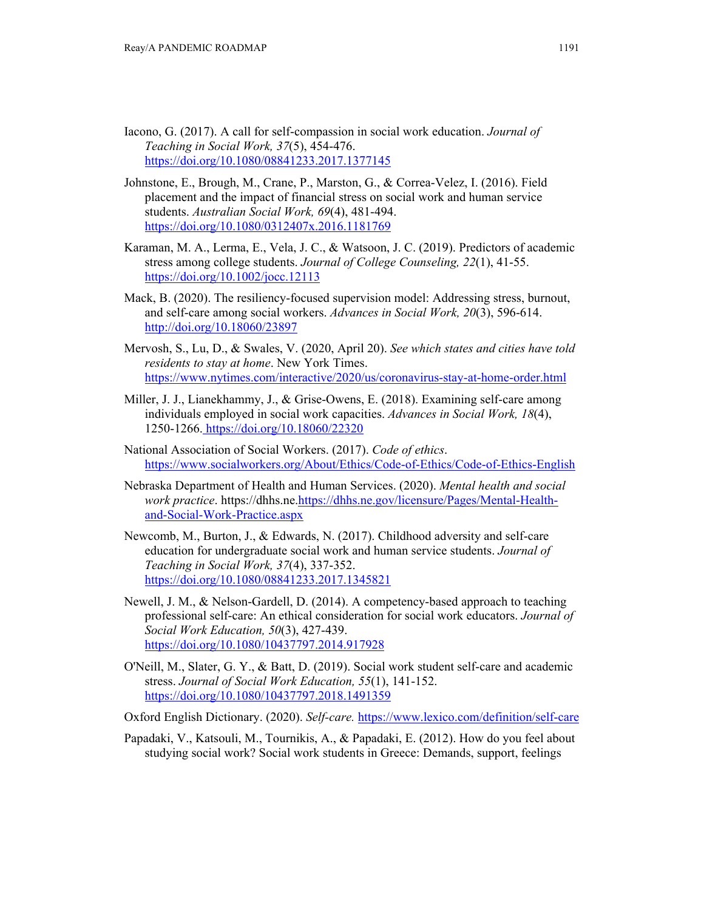- Iacono, G. (2017). A call for self-compassion in social work education. *Journal of Teaching in Social Work, 37*(5), 454-476. https://doi.org/10.1080/08841233.2017.1377145
- Johnstone, E., Brough, M., Crane, P., Marston, G., & Correa-Velez, I. (2016). Field placement and the impact of financial stress on social work and human service students. *Australian Social Work, 69*(4), 481-494. https://doi.org/10.1080/0312407x.2016.1181769
- Karaman, M. A., Lerma, E., Vela, J. C., & Watsoon, J. C. (2019). Predictors of academic stress among college students. *Journal of College Counseling, 22*(1), 41-55. https://doi.org/10.1002/jocc.12113
- Mack, B. (2020). The resiliency-focused supervision model: Addressing stress, burnout, and self-care among social workers. *Advances in Social Work, 20*(3), 596-614. http://doi.org/10.18060/23897
- Mervosh, S., Lu, D., & Swales, V. (2020, April 20). *See which states and cities have told residents to stay at home*. New York Times. https://www.nytimes.com/interactive/2020/us/coronavirus-stay-at-home-order.html
- Miller, J. J., Lianekhammy, J., & Grise-Owens, E. (2018). Examining self-care among individuals employed in social work capacities. *Advances in Social Work, 18*(4), 1250-1266. https://doi.org/10.18060/22320
- National Association of Social Workers. (2017). *Code of ethics*. https://www.socialworkers.org/About/Ethics/Code-of-Ethics/Code-of-Ethics-English
- Nebraska Department of Health and Human Services. (2020). *Mental health and social work practice*. https://dhhs.ne.https://dhhs.ne.gov/licensure/Pages/Mental-Healthand-Social-Work-Practice.aspx
- Newcomb, M., Burton, J., & Edwards, N. (2017). Childhood adversity and self-care education for undergraduate social work and human service students. *Journal of Teaching in Social Work, 37*(4), 337-352. https://doi.org/10.1080/08841233.2017.1345821
- Newell, J. M., & Nelson-Gardell, D. (2014). A competency-based approach to teaching professional self-care: An ethical consideration for social work educators. *Journal of Social Work Education, 50*(3), 427-439. https://doi.org/10.1080/10437797.2014.917928
- O'Neill, M., Slater, G. Y., & Batt, D. (2019). Social work student self-care and academic stress. *Journal of Social Work Education, 55*(1), 141-152. https://doi.org/10.1080/10437797.2018.1491359
- Oxford English Dictionary. (2020). *Self-care.* https://www.lexico.com/definition/self-care
- Papadaki, V., Katsouli, M., Tournikis, A., & Papadaki, E. (2012). How do you feel about studying social work? Social work students in Greece: Demands, support, feelings